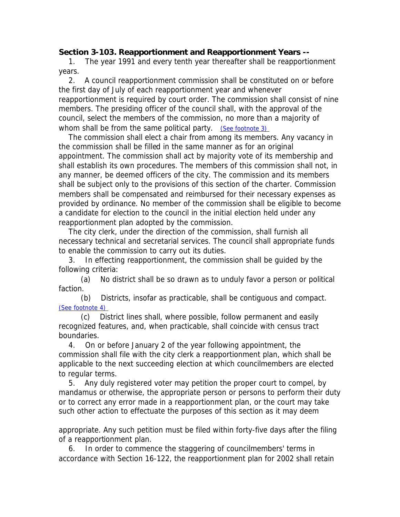## **Section 3-103. Reapportionment and Reapportionment Years --**

 1. The year 1991 and every tenth year thereafter shall be reapportionment years.

 2. A council reapportionment commission shall be constituted on or before the first day of July of each reapportionment year and whenever reapportionment is required by court order. The commission shall consist of nine members. The presiding officer of the council shall, with the approval of the council, select the members of the commission, no more than a majority of whom shall be from the same political party. (See footnote 3)

 The commission shall elect a chair from among its members. Any vacancy in the commission shall be filled in the same manner as for an original appointment. The commission shall act by majority vote of its membership and shall establish its own procedures. The members of this commission shall not, in any manner, be deemed officers of the city. The commission and its members shall be subject only to the provisions of this section of the charter. Commission members shall be compensated and reimbursed for their necessary expenses as provided by ordinance. No member of the commission shall be eligible to become a candidate for election to the council in the initial election held under any reapportionment plan adopted by the commission.

 The city clerk, under the direction of the commission, shall furnish all necessary technical and secretarial services. The council shall appropriate funds to enable the commission to carry out its duties.

 3. In effecting reapportionment, the commission shall be guided by the following criteria:

 (a) No district shall be so drawn as to unduly favor a person or political faction.

 (b) Districts, insofar as practicable, shall be contiguous and compact. (See footnote 4)

 (c) District lines shall, where possible, follow permanent and easily recognized features, and, when practicable, shall coincide with census tract boundaries.

 4. On or before January 2 of the year following appointment, the commission shall file with the city clerk a reapportionment plan, which shall be applicable to the next succeeding election at which councilmembers are elected to regular terms.

 5. Any duly registered voter may petition the proper court to compel, by mandamus or otherwise, the appropriate person or persons to perform their duty or to correct any error made in a reapportionment plan, or the court may take such other action to effectuate the purposes of this section as it may deem

appropriate. Any such petition must be filed within forty-five days after the filing of a reapportionment plan.

 6. In order to commence the staggering of councilmembers' terms in accordance with Section 16-122, the reapportionment plan for 2002 shall retain